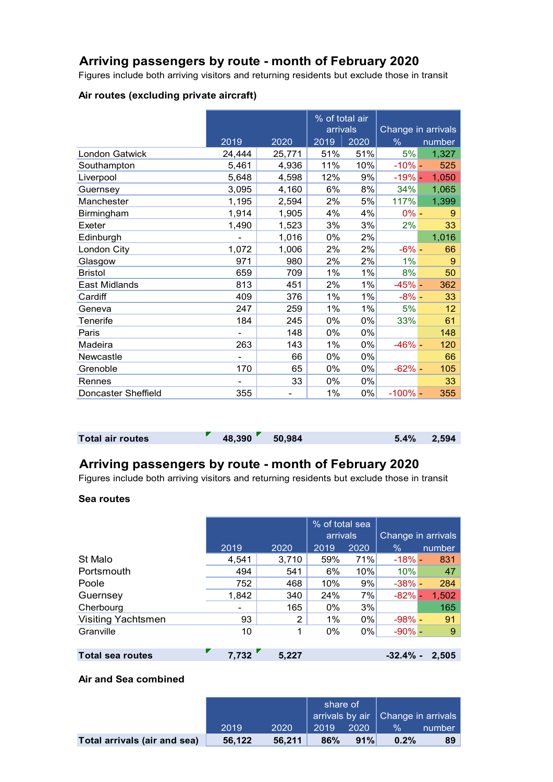## **Arriving passengers by route - month of February 2020**

Figures include both arriving visitors and returning residents but exclude those in transit

#### **Air routes (excluding private aircraft)**

|                     |        |        | % of total air<br>arrivals |      | Change in arrivals |        |
|---------------------|--------|--------|----------------------------|------|--------------------|--------|
|                     |        |        | 2019                       |      |                    |        |
|                     | 2019   | 2020   |                            | 2020 | $\%$               | number |
| London Gatwick      | 24,444 | 25,771 | 51%                        | 51%  | 5%                 | 1,327  |
| Southampton         | 5,461  | 4,936  | 11%                        | 10%  | $-10% -$           | 525    |
| Liverpool           | 5,648  | 4,598  | 12%                        | 9%   | $-19% -$           | 1,050  |
| Guernsey            | 3,095  | 4,160  | 6%                         | 8%   | 34%                | 1,065  |
| Manchester          | 1,195  | 2,594  | 2%                         | 5%   | 117%               | 1,399  |
| Birmingham          | 1,914  | 1,905  | 4%                         | 4%   | $0\% -$            | 9      |
| Exeter              | 1,490  | 1,523  | 3%                         | 3%   | 2%                 | 33     |
| Edinburgh           |        | 1,016  | 0%                         | 2%   |                    | 1,016  |
| London City         | 1,072  | 1,006  | 2%                         | 2%   | $-6% -$            | 66     |
| Glasgow             | 971    | 980    | 2%                         | 2%   | 1%                 | 9      |
| <b>Bristol</b>      | 659    | 709    | 1%                         | 1%   | 8%                 | 50     |
| East Midlands       | 813    | 451    | 2%                         | 1%   | $-45% -$           | 362    |
| Cardiff             | 409    | 376    | 1%                         | 1%   | $-8% -$            | 33     |
| Geneva              | 247    | 259    | 1%                         | 1%   | 5%                 | 12     |
| Tenerife            | 184    | 245    | 0%                         | 0%   | 33%                | 61     |
| Paris               |        | 148    | 0%                         | 0%   |                    | 148    |
| Madeira             | 263    | 143    | 1%                         | 0%   | $-46% -$           | 120    |
| Newcastle           |        | 66     | 0%                         | 0%   |                    | 66     |
| Grenoble            | 170    | 65     | 0%                         | 0%   | $-62% -$           | 105    |
| Rennes              |        | 33     | 0%                         | 0%   |                    | 33     |
| Doncaster Sheffield | 355    |        | $1\%$                      | 0%   | $-100\%$ -         | 355    |

### **Total air routes 19.1% 18,390 50,984** 50,984 5.4% 2,594

## **Arriving passengers by route - month of February 2020**

Figures include both arriving visitors and returning residents but exclude those in transit

#### **Sea routes**

|                           |       |       |      | % of total sea |                    |        |
|---------------------------|-------|-------|------|----------------|--------------------|--------|
|                           |       |       |      |                | Change in arrivals |        |
|                           | 2019  | 2020  | 2019 | 2020           | $\%$               | number |
| St Malo                   | 4,541 | 3,710 | 59%  | 71%            | $-18\%$ -          | 831    |
| Portsmouth                | 494   | 541   | 6%   | 10%            | 10%                | 47     |
| Poole                     | 752   | 468   | 10%  | 9%             | $-38% -$           | 284    |
| Guernsey                  | 1,842 | 340   | 24%  | 7%             | $-82% -$           | 1,502  |
| Cherbourg                 | -     | 165   | 0%   | 3%             |                    | 165    |
| <b>Visiting Yachtsmen</b> | 93    | 2     | 1%   | 0%             | $-98% -$           | 91     |
| Granville                 | 10    | 1     | 0%   | $0\%$          | $-90\%$ -          | 9      |
|                           |       |       |      |                |                    |        |
|                           |       |       |      |                |                    |        |

## **Total sea routes 7,732 5,227 -32.4% - 2,505**

### **Air and Sea combined**

|                              |        |        | share of<br>$\vert$ arrivals by air $\vert$ Change in arrivals $\vert$ |      |               |        |
|------------------------------|--------|--------|------------------------------------------------------------------------|------|---------------|--------|
|                              | 2019   | 2020   | 2019                                                                   | 2020 | $\frac{0}{6}$ | number |
| Total arrivals (air and sea) | 56.122 | 56.211 | 86%                                                                    | 91%  | 0.2%          | 89     |